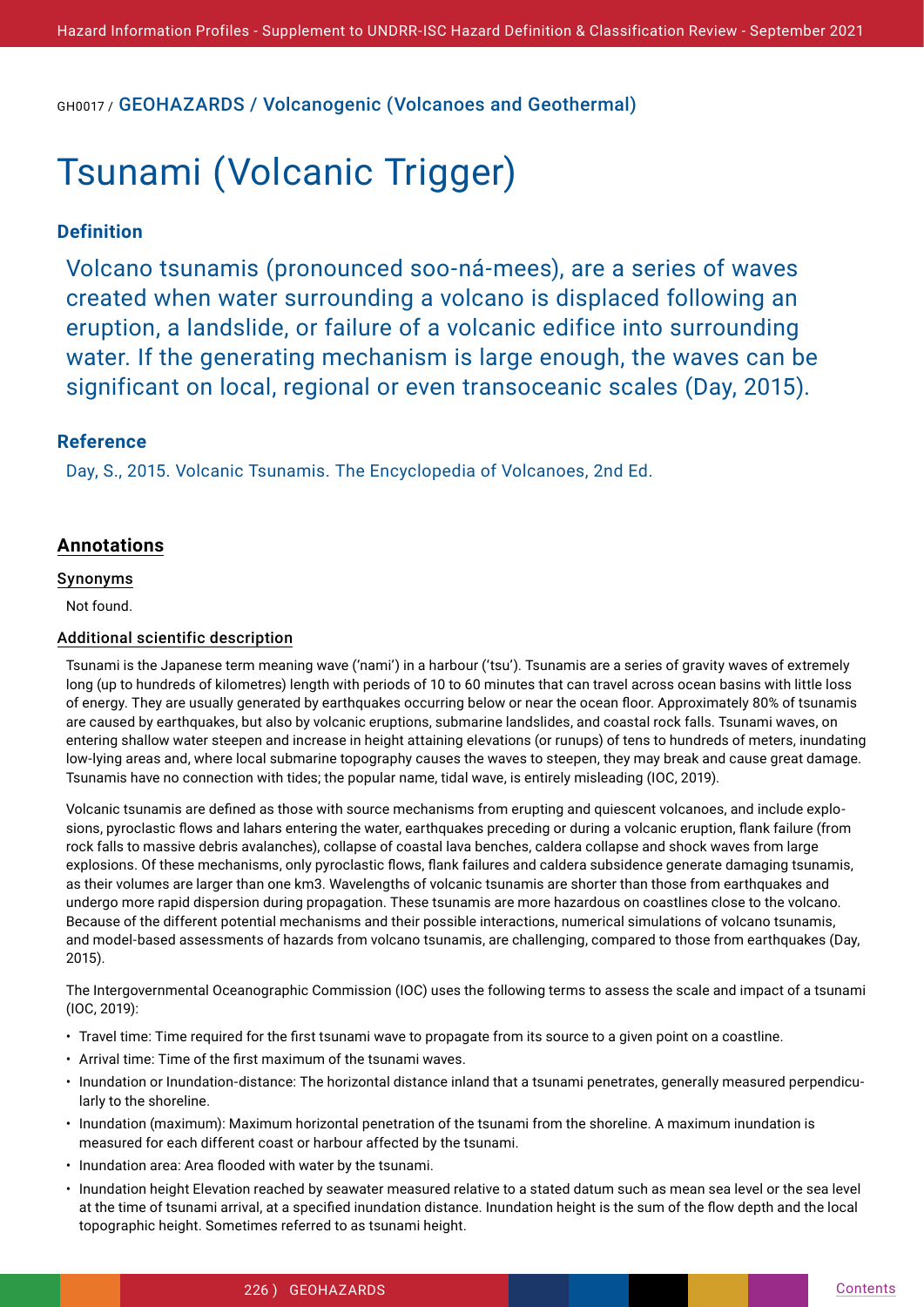GH0017 / GEOHAZARDS / Volcanogenic (Volcanoes and Geothermal)

# Tsunami (Volcanic Trigger)

# **Definition**

Volcano tsunamis (pronounced soo-ná-mees), are a series of waves created when water surrounding a volcano is displaced following an eruption, a landslide, or failure of a volcanic edifice into surrounding water. If the generating mechanism is large enough, the waves can be significant on local, regional or even transoceanic scales (Day, 2015).

# **Reference**

Day, S., 2015. Volcanic Tsunamis. The Encyclopedia of Volcanoes, 2nd Ed.

# **Annotations**

## Synonyms

Not found.

## Additional scientific description

Tsunami is the Japanese term meaning wave ('nami') in a harbour ('tsu'). Tsunamis are a series of gravity waves of extremely long (up to hundreds of kilometres) length with periods of 10 to 60 minutes that can travel across ocean basins with little loss of energy. They are usually generated by earthquakes occurring below or near the ocean floor. Approximately 80% of tsunamis are caused by earthquakes, but also by volcanic eruptions, submarine landslides, and coastal rock falls. Tsunami waves, on entering shallow water steepen and increase in height attaining elevations (or runups) of tens to hundreds of meters, inundating low-lying areas and, where local submarine topography causes the waves to steepen, they may break and cause great damage. Tsunamis have no connection with tides; the popular name, tidal wave, is entirely misleading (IOC, 2019).

Volcanic tsunamis are defined as those with source mechanisms from erupting and quiescent volcanoes, and include explosions, pyroclastic flows and lahars entering the water, earthquakes preceding or during a volcanic eruption, flank failure (from rock falls to massive debris avalanches), collapse of coastal lava benches, caldera collapse and shock waves from large explosions. Of these mechanisms, only pyroclastic flows, flank failures and caldera subsidence generate damaging tsunamis, as their volumes are larger than one km3. Wavelengths of volcanic tsunamis are shorter than those from earthquakes and undergo more rapid dispersion during propagation. These tsunamis are more hazardous on coastlines close to the volcano. Because of the different potential mechanisms and their possible interactions, numerical simulations of volcano tsunamis, and model-based assessments of hazards from volcano tsunamis, are challenging, compared to those from earthquakes (Day, 2015).

The Intergovernmental Oceanographic Commission (IOC) uses the following terms to assess the scale and impact of a tsunami (IOC, 2019):

- Travel time: Time required for the first tsunami wave to propagate from its source to a given point on a coastline.
- Arrival time: Time of the first maximum of the tsunami waves.
- Inundation or Inundation-distance: The horizontal distance inland that a tsunami penetrates, generally measured perpendicularly to the shoreline.
- Inundation (maximum): Maximum horizontal penetration of the tsunami from the shoreline. A maximum inundation is measured for each different coast or harbour affected by the tsunami.
- Inundation area: Area flooded with water by the tsunami.
- Inundation height Elevation reached by seawater measured relative to a stated datum such as mean sea level or the sea level at the time of tsunami arrival, at a specified inundation distance. Inundation height is the sum of the flow depth and the local topographic height. Sometimes referred to as tsunami height.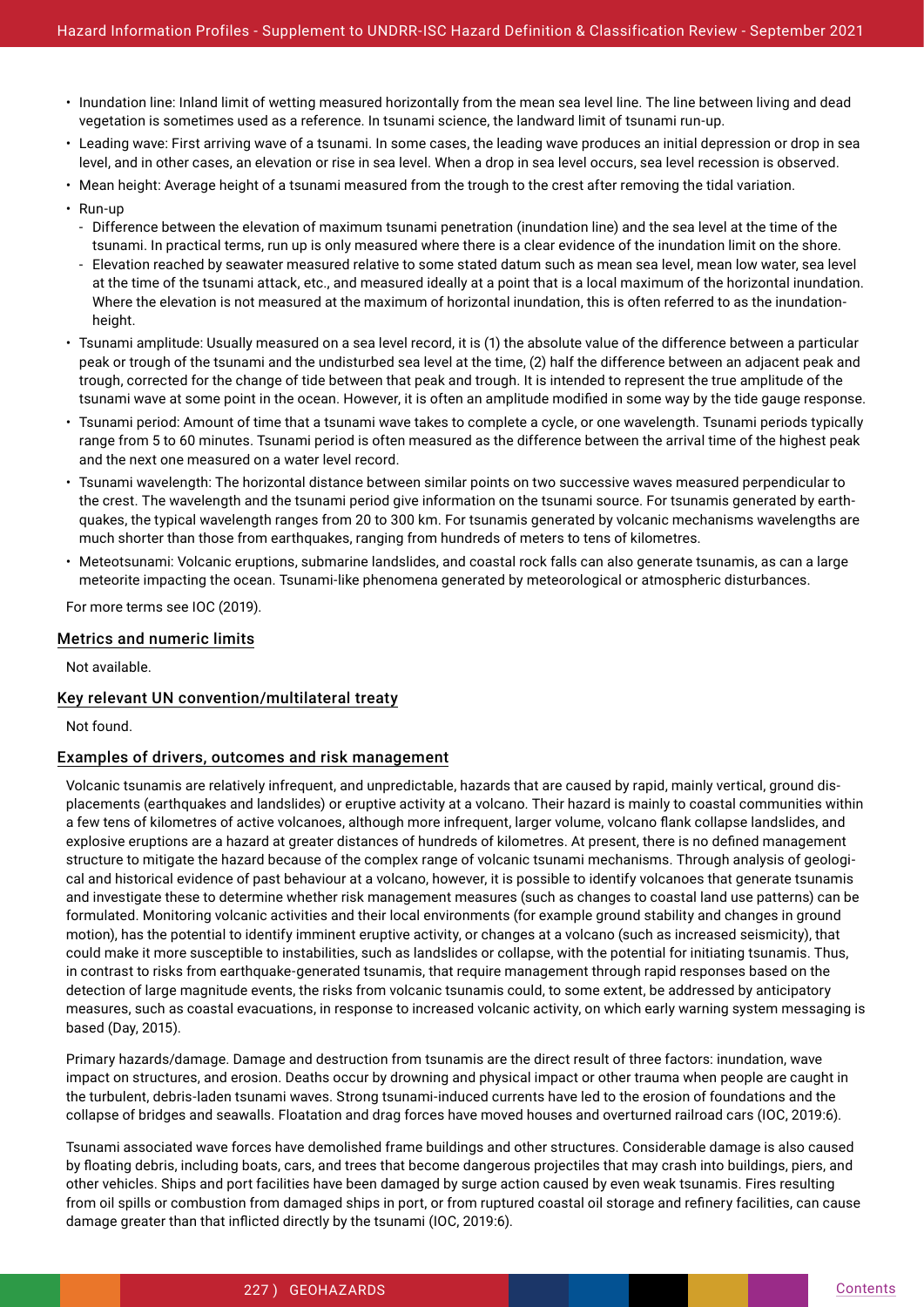- Inundation line: Inland limit of wetting measured horizontally from the mean sea level line. The line between living and dead vegetation is sometimes used as a reference. In tsunami science, the landward limit of tsunami run-up.
- Leading wave: First arriving wave of a tsunami. In some cases, the leading wave produces an initial depression or drop in sea level, and in other cases, an elevation or rise in sea level. When a drop in sea level occurs, sea level recession is observed.
- Mean height: Average height of a tsunami measured from the trough to the crest after removing the tidal variation.
- Run-up
- Difference between the elevation of maximum tsunami penetration (inundation line) and the sea level at the time of the tsunami. In practical terms, run up is only measured where there is a clear evidence of the inundation limit on the shore.
- Elevation reached by seawater measured relative to some stated datum such as mean sea level, mean low water, sea level at the time of the tsunami attack, etc., and measured ideally at a point that is a local maximum of the horizontal inundation. Where the elevation is not measured at the maximum of horizontal inundation, this is often referred to as the inundationheight.
- Tsunami amplitude: Usually measured on a sea level record, it is (1) the absolute value of the difference between a particular peak or trough of the tsunami and the undisturbed sea level at the time, (2) half the difference between an adjacent peak and trough, corrected for the change of tide between that peak and trough. It is intended to represent the true amplitude of the tsunami wave at some point in the ocean. However, it is often an amplitude modified in some way by the tide gauge response.
- Tsunami period: Amount of time that a tsunami wave takes to complete a cycle, or one wavelength. Tsunami periods typically range from 5 to 60 minutes. Tsunami period is often measured as the difference between the arrival time of the highest peak and the next one measured on a water level record.
- Tsunami wavelength: The horizontal distance between similar points on two successive waves measured perpendicular to the crest. The wavelength and the tsunami period give information on the tsunami source. For tsunamis generated by earthquakes, the typical wavelength ranges from 20 to 300 km. For tsunamis generated by volcanic mechanisms wavelengths are much shorter than those from earthquakes, ranging from hundreds of meters to tens of kilometres.
- Meteotsunami: Volcanic eruptions, submarine landslides, and coastal rock falls can also generate tsunamis, as can a large meteorite impacting the ocean. Tsunami-like phenomena generated by meteorological or atmospheric disturbances.

For more terms see IOC (2019).

#### Metrics and numeric limits

Not available.

#### Key relevant UN convention/multilateral treaty

Not found.

## Examples of drivers, outcomes and risk management

Volcanic tsunamis are relatively infrequent, and unpredictable, hazards that are caused by rapid, mainly vertical, ground displacements (earthquakes and landslides) or eruptive activity at a volcano. Their hazard is mainly to coastal communities within a few tens of kilometres of active volcanoes, although more infrequent, larger volume, volcano flank collapse landslides, and explosive eruptions are a hazard at greater distances of hundreds of kilometres. At present, there is no defined management structure to mitigate the hazard because of the complex range of volcanic tsunami mechanisms. Through analysis of geological and historical evidence of past behaviour at a volcano, however, it is possible to identify volcanoes that generate tsunamis and investigate these to determine whether risk management measures (such as changes to coastal land use patterns) can be formulated. Monitoring volcanic activities and their local environments (for example ground stability and changes in ground motion), has the potential to identify imminent eruptive activity, or changes at a volcano (such as increased seismicity), that could make it more susceptible to instabilities, such as landslides or collapse, with the potential for initiating tsunamis. Thus, in contrast to risks from earthquake-generated tsunamis, that require management through rapid responses based on the detection of large magnitude events, the risks from volcanic tsunamis could, to some extent, be addressed by anticipatory measures, such as coastal evacuations, in response to increased volcanic activity, on which early warning system messaging is based (Day, 2015).

Primary hazards/damage. Damage and destruction from tsunamis are the direct result of three factors: inundation, wave impact on structures, and erosion. Deaths occur by drowning and physical impact or other trauma when people are caught in the turbulent, debris-laden tsunami waves. Strong tsunami-induced currents have led to the erosion of foundations and the collapse of bridges and seawalls. Floatation and drag forces have moved houses and overturned railroad cars (IOC, 2019:6).

Tsunami associated wave forces have demolished frame buildings and other structures. Considerable damage is also caused by floating debris, including boats, cars, and trees that become dangerous projectiles that may crash into buildings, piers, and other vehicles. Ships and port facilities have been damaged by surge action caused by even weak tsunamis. Fires resulting from oil spills or combustion from damaged ships in port, or from ruptured coastal oil storage and refinery facilities, can cause damage greater than that inflicted directly by the tsunami (IOC, 2019:6).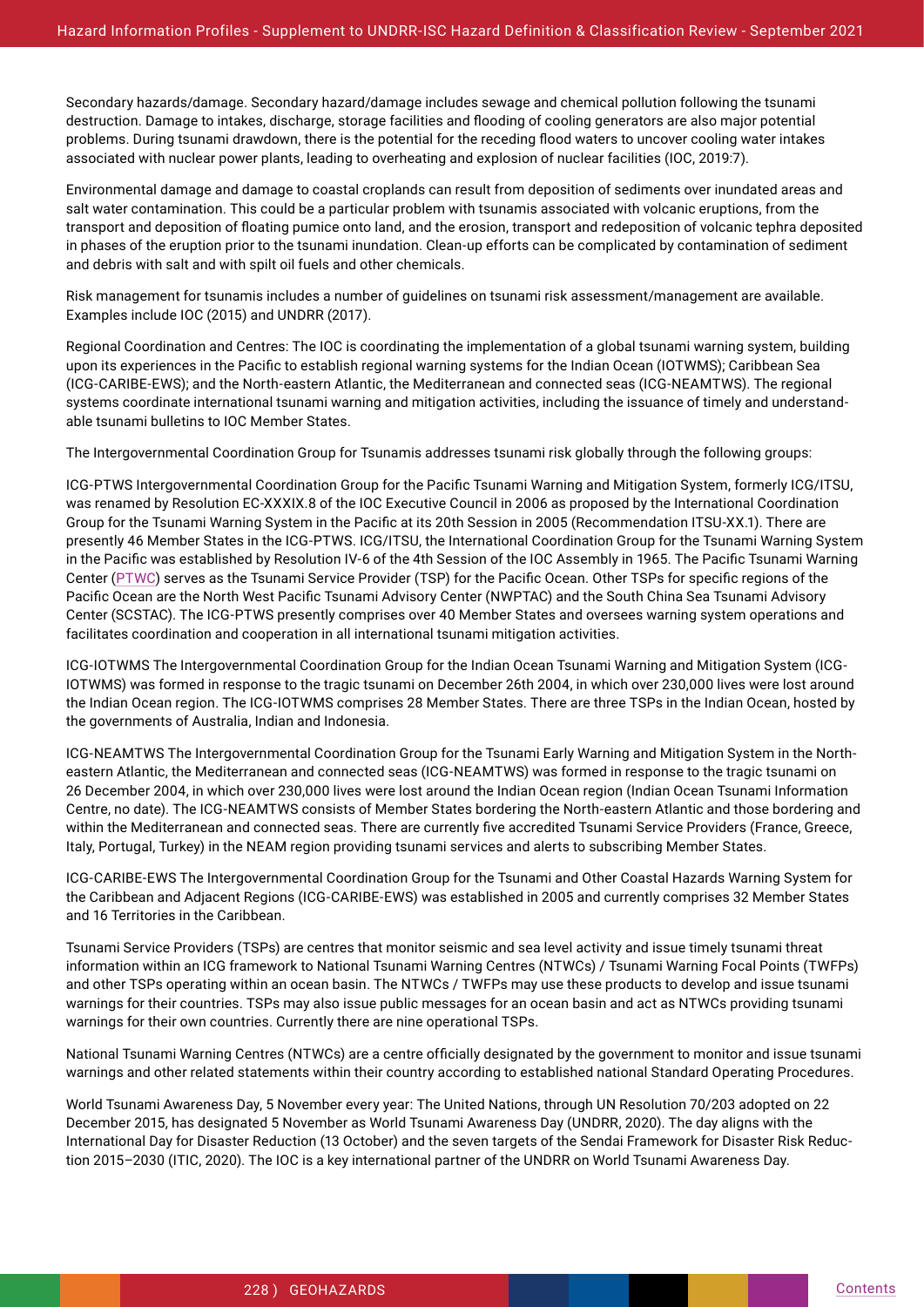Secondary hazards/damage. Secondary hazard/damage includes sewage and chemical pollution following the tsunami destruction. Damage to intakes, discharge, storage facilities and flooding of cooling generators are also major potential problems. During tsunami drawdown, there is the potential for the receding flood waters to uncover cooling water intakes associated with nuclear power plants, leading to overheating and explosion of nuclear facilities (IOC, 2019:7).

Environmental damage and damage to coastal croplands can result from deposition of sediments over inundated areas and salt water contamination. This could be a particular problem with tsunamis associated with volcanic eruptions, from the transport and deposition of floating pumice onto land, and the erosion, transport and redeposition of volcanic tephra deposited in phases of the eruption prior to the tsunami inundation. Clean-up efforts can be complicated by contamination of sediment and debris with salt and with spilt oil fuels and other chemicals.

Risk management for tsunamis includes a number of guidelines on tsunami risk assessment/management are available. Examples include IOC (2015) and UNDRR (2017).

Regional Coordination and Centres: The IOC is coordinating the implementation of a global tsunami warning system, building upon its experiences in the Pacific to establish regional warning systems for the Indian Ocean (IOTWMS); Caribbean Sea (ICG-CARIBE-EWS); and the North-eastern Atlantic, the Mediterranean and connected seas (ICG-NEAMTWS). The regional systems coordinate international tsunami warning and mitigation activities, including the issuance of timely and understandable tsunami bulletins to IOC Member States.

The Intergovernmental Coordination Group for Tsunamis addresses tsunami risk globally through the following groups:

ICG-PTWS Intergovernmental Coordination Group for the Pacific Tsunami Warning and Mitigation System, formerly ICG/ITSU, was renamed by Resolution EC-XXXIX.8 of the IOC Executive Council in 2006 as proposed by the International Coordination Group for the Tsunami Warning System in the Pacific at its 20th Session in 2005 (Recommendation ITSU-XX.1). There are presently 46 Member States in the ICG-PTWS. ICG/ITSU, the International Coordination Group for the Tsunami Warning System in the Pacific was established by Resolution IV-6 of the 4th Session of the IOC Assembly in 1965. The Pacific Tsunami Warning Center (PTWC) serves as the Tsunami Service Provider (TSP) for the Pacific Ocean. Other TSPs for specific regions of the Pacific Ocean are the North West Pacific Tsunami Advisory Center (NWPTAC) and the South China Sea Tsunami Advisory Center (SCSTAC). The ICG-PTWS presently comprises over 40 Member States and oversees warning system operations and facilitates coordination and cooperation in all international tsunami mitigation activities.

ICG-IOTWMS The Intergovernmental Coordination Group for the Indian Ocean Tsunami Warning and Mitigation System (ICG-IOTWMS) was formed in response to the tragic tsunami on December 26th 2004, in which over 230,000 lives were lost around the Indian Ocean region. The ICG-IOTWMS comprises 28 Member States. There are three TSPs in the Indian Ocean, hosted by the governments of Australia, Indian and Indonesia.

ICG-NEAMTWS The Intergovernmental Coordination Group for the Tsunami Early Warning and Mitigation System in the Northeastern Atlantic, the Mediterranean and connected seas (ICG-NEAMTWS) was formed in response to the tragic tsunami on 26 December 2004, in which over 230,000 lives were lost around the Indian Ocean region (Indian Ocean Tsunami Information Centre, no date). The ICG-NEAMTWS consists of Member States bordering the North-eastern Atlantic and those bordering and within the Mediterranean and connected seas. There are currently five accredited Tsunami Service Providers (France, Greece, Italy, Portugal, Turkey) in the NEAM region providing tsunami services and alerts to subscribing Member States.

ICG-CARIBE-EWS The Intergovernmental Coordination Group for the Tsunami and Other Coastal Hazards Warning System for the Caribbean and Adjacent Regions (ICG-CARIBE-EWS) was established in 2005 and currently comprises 32 Member States and 16 Territories in the Caribbean.

Tsunami Service Providers (TSPs) are centres that monitor seismic and sea level activity and issue timely tsunami threat information within an ICG framework to National Tsunami Warning Centres (NTWCs) / Tsunami Warning Focal Points (TWFPs) and other TSPs operating within an ocean basin. The NTWCs / TWFPs may use these products to develop and issue tsunami warnings for their countries. TSPs may also issue public messages for an ocean basin and act as NTWCs providing tsunami warnings for their own countries. Currently there are nine operational TSPs.

National Tsunami Warning Centres (NTWCs) are a centre officially designated by the government to monitor and issue tsunami warnings and other related statements within their country according to established national Standard Operating Procedures.

World Tsunami Awareness Day, 5 November every year: The United Nations, through UN Resolution 70/203 adopted on 22 December 2015, has designated 5 November as World Tsunami Awareness Day (UNDRR, 2020). The day aligns with the International Day for Disaster Reduction (13 October) and the seven targets of the Sendai Framework for Disaster Risk Reduction 2015–2030 (ITIC, 2020). The IOC is a key international partner of the UNDRR on World Tsunami Awareness Day.